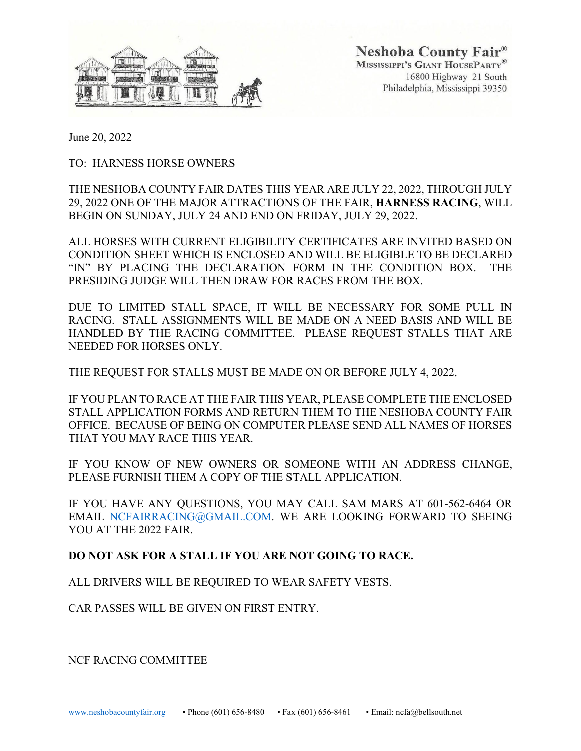

Neshoba County Fair® MISSISSIPPI'S GIANT HOUSEPARTY® 16800 Highway 21 South Philadelphia, Mississippi 39350

June 20, 2022

TO: HARNESS HORSE OWNERS

THE NESHOBA COUNTY FAIR DATES THIS YEAR ARE JULY 22, 2022, THROUGH JULY 29, 2022 ONE OF THE MAJOR ATTRACTIONS OF THE FAIR, **HARNESS RACING**, WILL BEGIN ON SUNDAY, JULY 24 AND END ON FRIDAY, JULY 29, 2022.

ALL HORSES WITH CURRENT ELIGIBILITY CERTIFICATES ARE INVITED BASED ON CONDITION SHEET WHICH IS ENCLOSED AND WILL BE ELIGIBLE TO BE DECLARED "IN" BY PLACING THE DECLARATION FORM IN THE CONDITION BOX. THE PRESIDING JUDGE WILL THEN DRAW FOR RACES FROM THE BOX.

DUE TO LIMITED STALL SPACE, IT WILL BE NECESSARY FOR SOME PULL IN RACING. STALL ASSIGNMENTS WILL BE MADE ON A NEED BASIS AND WILL BE HANDLED BY THE RACING COMMITTEE. PLEASE REQUEST STALLS THAT ARE NEEDED FOR HORSES ONLY.

THE REQUEST FOR STALLS MUST BE MADE ON OR BEFORE JULY 4, 2022.

IF YOU PLAN TO RACE AT THE FAIR THIS YEAR, PLEASE COMPLETE THE ENCLOSED STALL APPLICATION FORMS AND RETURN THEM TO THE NESHOBA COUNTY FAIR OFFICE. BECAUSE OF BEING ON COMPUTER PLEASE SEND ALL NAMES OF HORSES THAT YOU MAY RACE THIS YEAR.

IF YOU KNOW OF NEW OWNERS OR SOMEONE WITH AN ADDRESS CHANGE, PLEASE FURNISH THEM A COPY OF THE STALL APPLICATION.

IF YOU HAVE ANY QUESTIONS, YOU MAY CALL SAM MARS AT 601-562-6464 OR EMAIL [NCFAIRRACING@GMAIL.COM.](mailto:NCFAIRRACING@GMAIL.COM) WE ARE LOOKING FORWARD TO SEEING YOU AT THE 2022 FAIR.

#### **DO NOT ASK FOR A STALL IF YOU ARE NOT GOING TO RACE.**

ALL DRIVERS WILL BE REQUIRED TO WEAR SAFETY VESTS.

CAR PASSES WILL BE GIVEN ON FIRST ENTRY.

NCF RACING COMMITTEE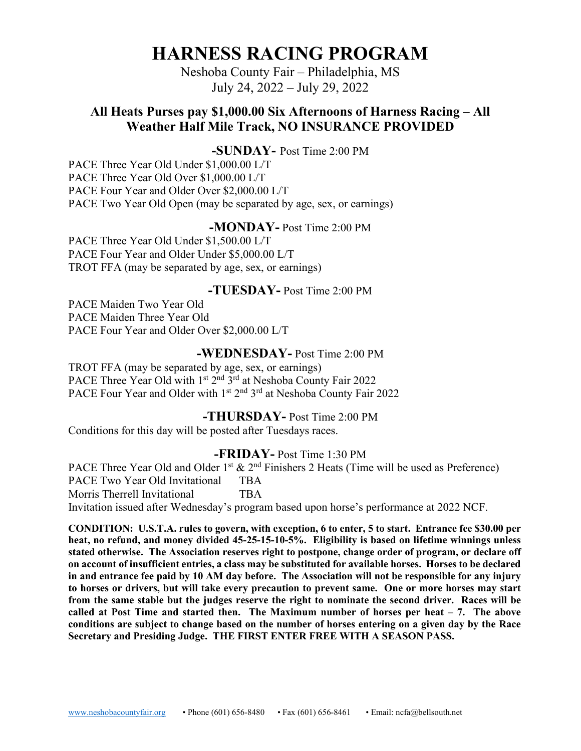## **HARNESS RACING PROGRAM**

Neshoba County Fair – Philadelphia, MS July 24, 2022 – July 29, 2022

### **All Heats Purses pay \$1,000.00 Six Afternoons of Harness Racing – All Weather Half Mile Track, NO INSURANCE PROVIDED**

#### **-SUNDAY-** Post Time 2:00 PM

PACE Three Year Old Under \$1,000.00 L/T PACE Three Year Old Over \$1,000.00 L/T PACE Four Year and Older Over \$2,000.00 L/T PACE Two Year Old Open (may be separated by age, sex, or earnings)

#### **-MONDAY-** Post Time 2:00 PM

PACE Three Year Old Under \$1,500.00 L/T PACE Four Year and Older Under \$5,000.00 L/T TROT FFA (may be separated by age, sex, or earnings)

#### **-TUESDAY-** Post Time 2:00 PM

PACE Maiden Two Year Old PACE Maiden Three Year Old PACE Four Year and Older Over \$2,000.00 L/T

#### **-WEDNESDAY-** Post Time 2:00 PM

TROT FFA (may be separated by age, sex, or earnings) PACE Three Year Old with 1<sup>st 2nd</sup> 3<sup>rd</sup> at Neshoba County Fair 2022 PACE Four Year and Older with 1<sup>st</sup> 2<sup>nd</sup> 3<sup>rd</sup> at Neshoba County Fair 2022

#### **-THURSDAY-** Post Time 2:00 PM

Conditions for this day will be posted after Tuesdays races.

#### **-FRIDAY-** Post Time 1:30 PM

PACE Three Year Old and Older 1<sup>st</sup>  $\& 2<sup>nd</sup>$  Finishers 2 Heats (Time will be used as Preference) PACE Two Year Old Invitational TBA Morris Therrell Invitational TBA Invitation issued after Wednesday's program based upon horse's performance at 2022 NCF.

**CONDITION: U.S.T.A. rules to govern, with exception, 6 to enter, 5 to start. Entrance fee \$30.00 per heat, no refund, and money divided 45-25-15-10-5%. Eligibility is based on lifetime winnings unless stated otherwise. The Association reserves right to postpone, change order of program, or declare off on account of insufficient entries, a class may be substituted for available horses. Horses to be declared in and entrance fee paid by 10 AM day before. The Association will not be responsible for any injury to horses or drivers, but will take every precaution to prevent same. One or more horses may start from the same stable but the judges reserve the right to nominate the second driver. Races will be called at Post Time and started then. The Maximum number of horses per heat – 7. The above conditions are subject to change based on the number of horses entering on a given day by the Race Secretary and Presiding Judge. THE FIRST ENTER FREE WITH A SEASON PASS.**